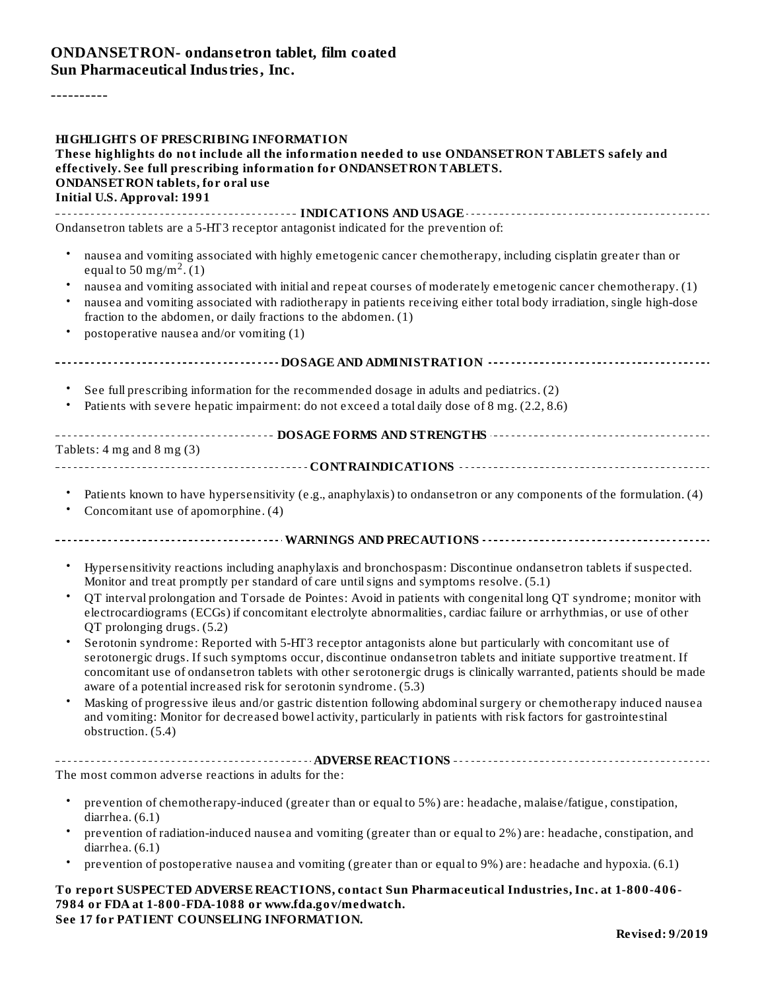### **ONDANSETRON- ondans etron tablet, film coated Sun Pharmaceutical Industries, Inc.**

----------

| <b>HIGHLIGHTS OF PRESCRIBING INFORMATION</b><br>These highlights do not include all the information needed to use ONDANSETRON TABLETS safely and<br>effectively. See full prescribing information for ONDANSETRON TABLETS.                                                                                      |
|-----------------------------------------------------------------------------------------------------------------------------------------------------------------------------------------------------------------------------------------------------------------------------------------------------------------|
| <b>ONDANSETRON</b> tablets, for oral use<br><b>Initial U.S. Approval: 1991</b>                                                                                                                                                                                                                                  |
| Ondansetron tablets are a 5-HT3 receptor antagonist indicated for the prevention of:                                                                                                                                                                                                                            |
|                                                                                                                                                                                                                                                                                                                 |
| nausea and vomiting associated with highly emetogenic cancer chemotherapy, including cisplatin greater than or<br>equal to 50 mg/m <sup>2</sup> . (1)                                                                                                                                                           |
| nausea and vomiting associated with initial and repeat courses of moderately emetogenic cancer chemotherapy. (1)<br>$\bullet$                                                                                                                                                                                   |
| nausea and vomiting associated with radiotherapy in patients receiving either total body irradiation, single high-dose<br>$\bullet$<br>fraction to the abdomen, or daily fractions to the abdomen. (1)                                                                                                          |
| postoperative nausea and/or vomiting (1)<br>$\bullet$                                                                                                                                                                                                                                                           |
|                                                                                                                                                                                                                                                                                                                 |
| See full prescribing information for the recommended dosage in adults and pediatrics. (2)                                                                                                                                                                                                                       |
| Patients with severe hepatic impairment: do not exceed a total daily dose of 8 mg. (2.2, 8.6)                                                                                                                                                                                                                   |
|                                                                                                                                                                                                                                                                                                                 |
| Tablets: $4$ mg and $8$ mg $(3)$                                                                                                                                                                                                                                                                                |
|                                                                                                                                                                                                                                                                                                                 |
| Patients known to have hypersensitivity (e.g., anaphylaxis) to ondansetron or any components of the formulation. (4)<br>Concomitant use of apomorphine. (4)                                                                                                                                                     |
|                                                                                                                                                                                                                                                                                                                 |
| Hypersensitivity reactions including anaphylaxis and bronchospasm: Discontinue ondansetron tablets if suspected.<br>$\bullet$<br>Monitor and treat promptly per standard of care until signs and symptoms resolve. (5.1)                                                                                        |
| $\bullet$<br>QT interval prolongation and Torsade de Pointes: Avoid in patients with congenital long QT syndrome; monitor with<br>electrocardiograms (ECGs) if concomitant electrolyte abnormalities, cardiac failure or arrhythmias, or use of other<br>QT prolonging drugs. (5.2)                             |
| $\bullet$<br>Serotonin syndrome: Reported with 5-HT3 receptor antagonists alone but particularly with concomitant use of                                                                                                                                                                                        |
| serotonergic drugs. If such symptoms occur, discontinue ondansetron tablets and initiate supportive treatment. If<br>concomitant use of ondansetron tablets with other serotonergic drugs is clinically warranted, patients should be made<br>aware of a potential increased risk for serotonin syndrome. (5.3) |
| Masking of progressive ileus and/or gastric distention following abdominal surgery or chemotherapy induced nausea<br>and vomiting: Monitor for decreased bowel activity, particularly in patients with risk factors for gastrointestinal<br>obstruction. (5.4)                                                  |
|                                                                                                                                                                                                                                                                                                                 |
| The most common adverse reactions in adults for the:                                                                                                                                                                                                                                                            |
| prevention of chemotherapy-induced (greater than or equal to 5%) are: headache, malaise/fatigue, constipation,<br>diarrhea. (6.1)                                                                                                                                                                               |
| prevention of radiation-induced nausea and vomiting (greater than or equal to 2%) are: headache, constipation, and<br>diarrhea. (6.1)                                                                                                                                                                           |
| prevention of postoperative nausea and vomiting (greater than or equal to 9%) are: headache and hypoxia. (6.1)<br>٠                                                                                                                                                                                             |
| To report SUSPECTED ADVERSE REACTIONS, contact Sun Pharmaceutical Industries, Inc. at 1-800-406-<br>7984 or FDA at 1-800-FDA-1088 or www.fda.gov/medwatch.                                                                                                                                                      |

**See 17 for PATIENT COUNSELING INFORMATION.**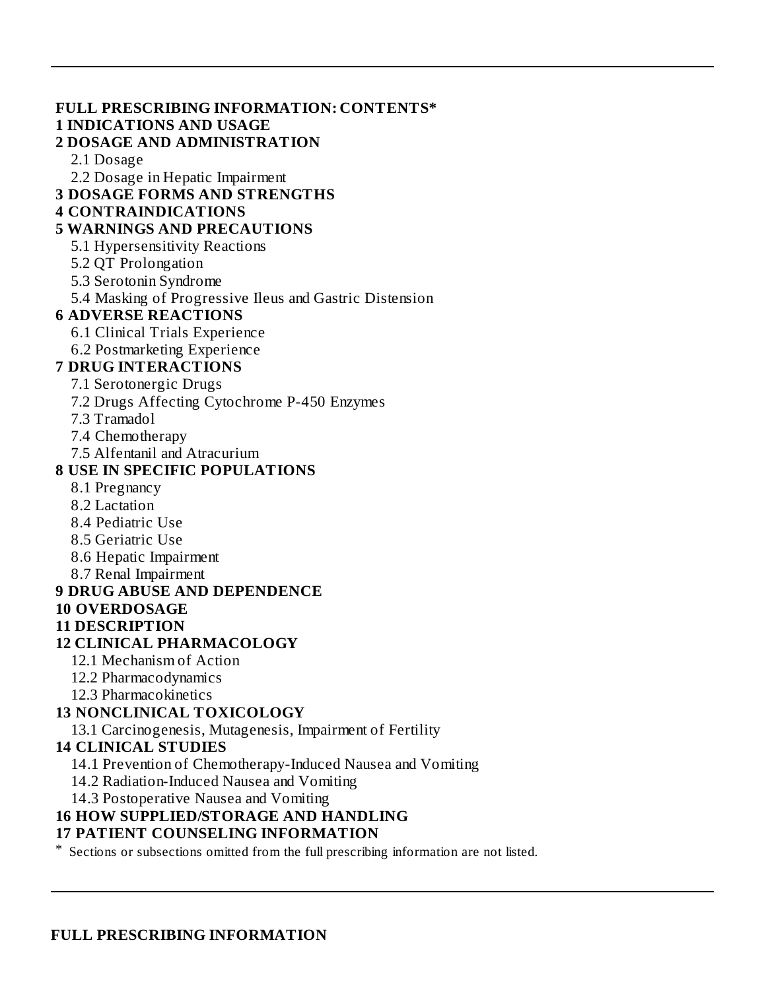**FULL PRESCRIBING INFORMATION: CONTENTS\* 1 INDICATIONS AND USAGE 2 DOSAGE AND ADMINISTRATION** 2.1 Dosage 2.2 Dosage in Hepatic Impairment **3 DOSAGE FORMS AND STRENGTHS 4 CONTRAINDICATIONS 5 WARNINGS AND PRECAUTIONS** 5.1 Hypersensitivity Reactions 5.2 QT Prolongation 5.3 Serotonin Syndrome 5.4 Masking of Progressive Ileus and Gastric Distension **6 ADVERSE REACTIONS** 6.1 Clinical Trials Experience 6.2 Postmarketing Experience **7 DRUG INTERACTIONS** 7.1 Serotonergic Drugs 7.2 Drugs Affecting Cytochrome P-450 Enzymes 7.3 Tramadol 7.4 Chemotherapy 7.5 Alfentanil and Atracurium **8 USE IN SPECIFIC POPULATIONS** 8.1 Pregnancy 8.2 Lactation 8.4 Pediatric Use 8.5 Geriatric Use 8.6 Hepatic Impairment 8.7 Renal Impairment **9 DRUG ABUSE AND DEPENDENCE 10 OVERDOSAGE 11 DESCRIPTION 12 CLINICAL PHARMACOLOGY** 12.1 Mechanism of Action 12.2 Pharmacodynamics 12.3 Pharmacokinetics **13 NONCLINICAL TOXICOLOGY** 13.1 Carcinogenesis, Mutagenesis, Impairment of Fertility **14 CLINICAL STUDIES**

14.1 Prevention of Chemotherapy-Induced Nausea and Vomiting

14.2 Radiation-Induced Nausea and Vomiting

14.3 Postoperative Nausea and Vomiting

### **16 HOW SUPPLIED/STORAGE AND HANDLING**

#### **17 PATIENT COUNSELING INFORMATION**

\* Sections or subsections omitted from the full prescribing information are not listed.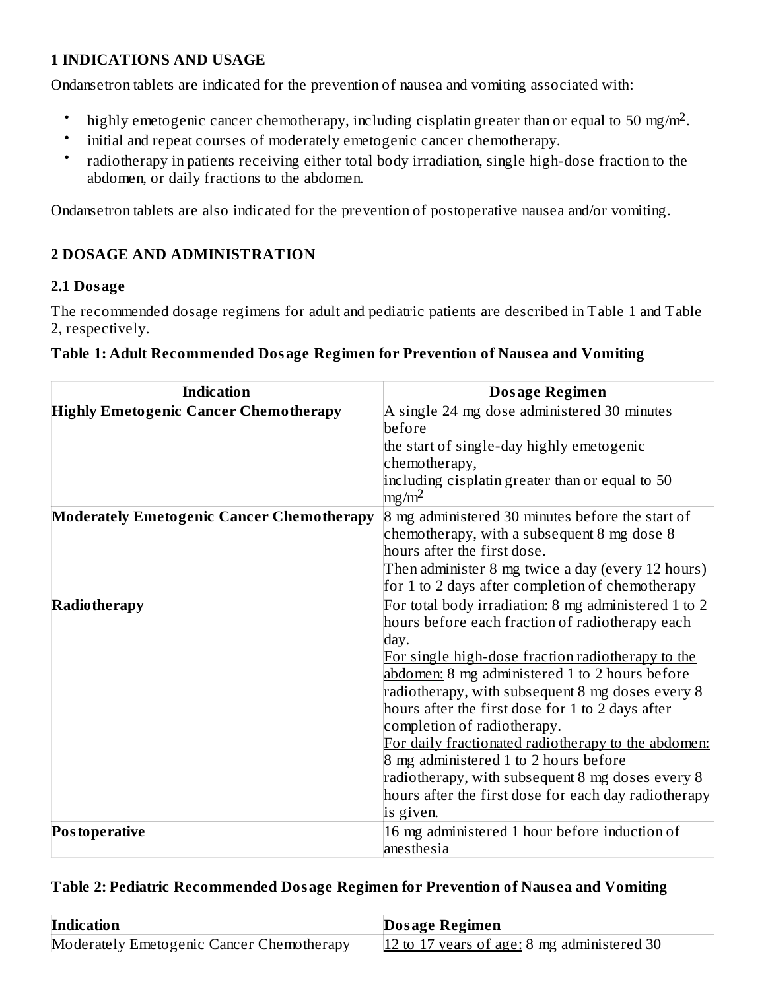#### **1 INDICATIONS AND USAGE**

Ondansetron tablets are indicated for the prevention of nausea and vomiting associated with:

- highly emetogenic cancer chemotherapy, including cisplatin greater than or equal to 50 mg/m<sup>2</sup>.
- initial and repeat courses of moderately emetogenic cancer chemotherapy.
- radiotherapy in patients receiving either total body irradiation, single high-dose fraction to the abdomen, or daily fractions to the abdomen.

Ondansetron tablets are also indicated for the prevention of postoperative nausea and/or vomiting.

### **2 DOSAGE AND ADMINISTRATION**

#### **2.1 Dosage**

The recommended dosage regimens for adult and pediatric patients are described in Table 1 and Table 2, respectively.

| <b>Indication</b>                                | <b>Dosage Regimen</b>                                |  |  |
|--------------------------------------------------|------------------------------------------------------|--|--|
| <b>Highly Emetogenic Cancer Chemotherapy</b>     | A single 24 mg dose administered 30 minutes          |  |  |
|                                                  | before                                               |  |  |
|                                                  | the start of single-day highly emetogenic            |  |  |
|                                                  | chemotherapy,                                        |  |  |
|                                                  | including cisplatin greater than or equal to 50      |  |  |
|                                                  | $mg/m^2$                                             |  |  |
| <b>Moderately Emetogenic Cancer Chemotherapy</b> | 8 mg administered 30 minutes before the start of     |  |  |
|                                                  | chemotherapy, with a subsequent 8 mg dose 8          |  |  |
|                                                  | hours after the first dose.                          |  |  |
|                                                  | Then administer 8 mg twice a day (every 12 hours)    |  |  |
|                                                  | for 1 to 2 days after completion of chemotherapy     |  |  |
| <b>Radiotherapy</b>                              | For total body irradiation: 8 mg administered 1 to 2 |  |  |
|                                                  | hours before each fraction of radiotherapy each      |  |  |
|                                                  | day.                                                 |  |  |
|                                                  | For single high-dose fraction radiotherapy to the    |  |  |
|                                                  | abdomen: 8 mg administered 1 to 2 hours before       |  |  |
|                                                  | radiotherapy, with subsequent 8 mg doses every 8     |  |  |
|                                                  | hours after the first dose for 1 to 2 days after     |  |  |
|                                                  | completion of radiotherapy.                          |  |  |
|                                                  | For daily fractionated radiotherapy to the abdomen:  |  |  |
|                                                  | 8 mg administered 1 to 2 hours before                |  |  |
|                                                  | radiotherapy, with subsequent 8 mg doses every 8     |  |  |
|                                                  | hours after the first dose for each day radiotherapy |  |  |
|                                                  | is given.                                            |  |  |
| Postoperative                                    | 16 mg administered 1 hour before induction of        |  |  |
|                                                  | anesthesia                                           |  |  |

#### **Table 2: Pediatric Recommended Dosage Regimen for Prevention of Naus ea and Vomiting**

| Indication                                | Dosage Regimen                              |
|-------------------------------------------|---------------------------------------------|
| Moderately Emetogenic Cancer Chemotherapy | 12 to 17 years of age: 8 mg administered 30 |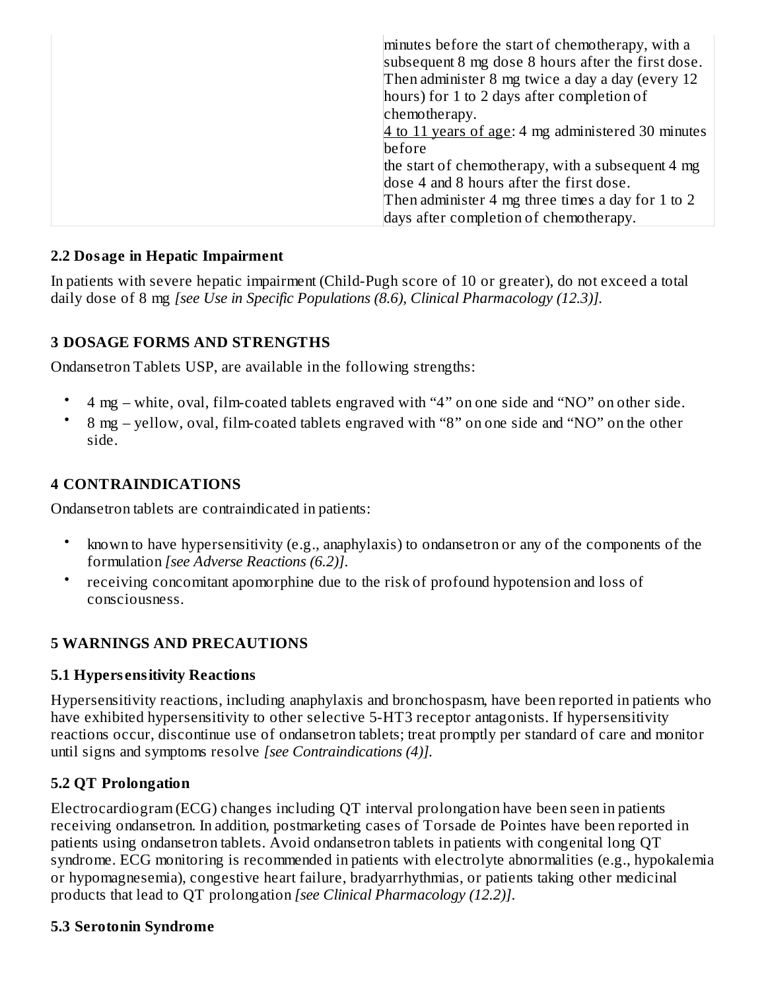| minutes before the start of chemotherapy, with a<br>subsequent 8 mg dose 8 hours after the first dose.<br>Then administer 8 mg twice a day a day (every 12 |
|------------------------------------------------------------------------------------------------------------------------------------------------------------|
| hours) for 1 to 2 days after completion of                                                                                                                 |
| chemotherapy.                                                                                                                                              |
| 4 to 11 years of age: 4 mg administered 30 minutes                                                                                                         |
| before                                                                                                                                                     |
| the start of chemotherapy, with a subsequent 4 mg                                                                                                          |
| dose 4 and 8 hours after the first dose.                                                                                                                   |
| Then administer 4 mg three times a day for 1 to 2                                                                                                          |
| days after completion of chemotherapy.                                                                                                                     |

#### **2.2 Dosage in Hepatic Impairment**

In patients with severe hepatic impairment (Child-Pugh score of 10 or greater), do not exceed a total daily dose of 8 mg *[see Use in Specific Populations (8.6), Clinical Pharmacology (12.3)].*

#### **3 DOSAGE FORMS AND STRENGTHS**

Ondansetron Tablets USP, are available in the following strengths:

- 4 mg white, oval, film-coated tablets engraved with "4" on one side and "NO" on other side.
- 8 mg yellow, oval, film-coated tablets engraved with "8" on one side and "NO" on the other side.

#### **4 CONTRAINDICATIONS**

Ondansetron tablets are contraindicated in patients:

- known to have hypersensitivity (e.g., anaphylaxis) to ondansetron or any of the components of the formulation *[see Adverse Reactions (6.2)]*.
- receiving concomitant apomorphine due to the risk of profound hypotension and loss of consciousness.

### **5 WARNINGS AND PRECAUTIONS**

#### **5.1 Hypers ensitivity Reactions**

Hypersensitivity reactions, including anaphylaxis and bronchospasm, have been reported in patients who have exhibited hypersensitivity to other selective 5-HT3 receptor antagonists. If hypersensitivity reactions occur, discontinue use of ondansetron tablets; treat promptly per standard of care and monitor until signs and symptoms resolve *[see Contraindications (4)].*

#### **5.2 QT Prolongation**

Electrocardiogram (ECG) changes including QT interval prolongation have been seen in patients receiving ondansetron. In addition, postmarketing cases of Torsade de Pointes have been reported in patients using ondansetron tablets. Avoid ondansetron tablets in patients with congenital long QT syndrome. ECG monitoring is recommended in patients with electrolyte abnormalities (e.g., hypokalemia or hypomagnesemia), congestive heart failure, bradyarrhythmias, or patients taking other medicinal products that lead to QT prolongation *[see Clinical Pharmacology (12.2)]*.

#### **5.3 Serotonin Syndrome**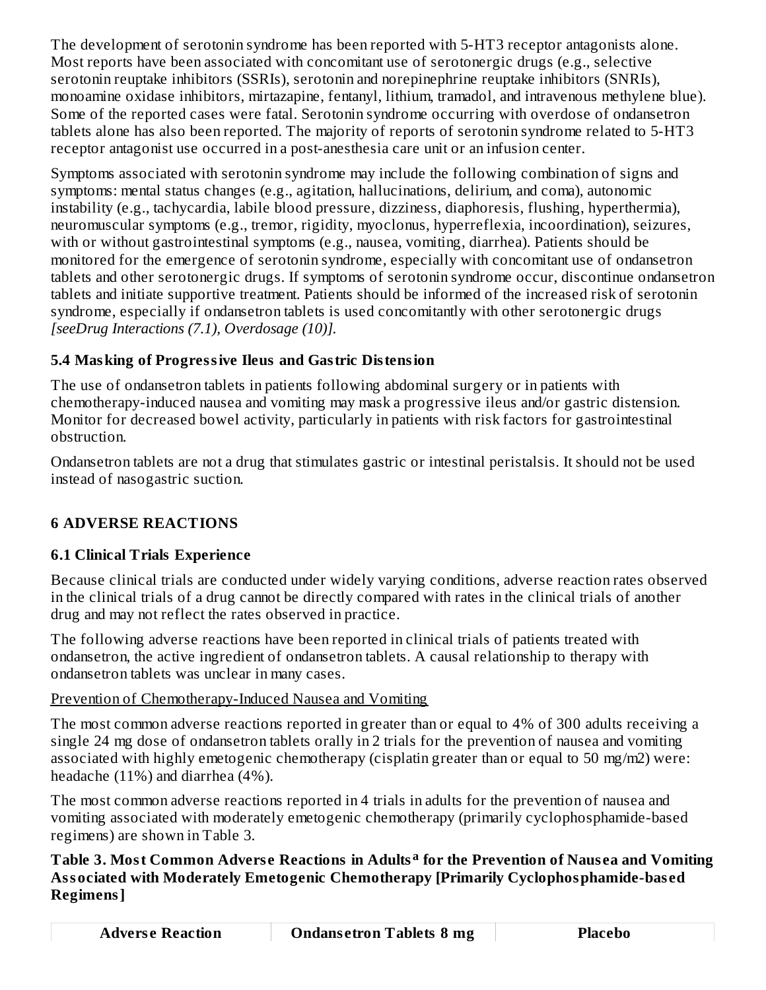The development of serotonin syndrome has been reported with 5-HT3 receptor antagonists alone. Most reports have been associated with concomitant use of serotonergic drugs (e.g., selective serotonin reuptake inhibitors (SSRIs), serotonin and norepinephrine reuptake inhibitors (SNRIs), monoamine oxidase inhibitors, mirtazapine, fentanyl, lithium, tramadol, and intravenous methylene blue). Some of the reported cases were fatal. Serotonin syndrome occurring with overdose of ondansetron tablets alone has also been reported. The majority of reports of serotonin syndrome related to 5-HT3 receptor antagonist use occurred in a post-anesthesia care unit or an infusion center.

Symptoms associated with serotonin syndrome may include the following combination of signs and symptoms: mental status changes (e.g., agitation, hallucinations, delirium, and coma), autonomic instability (e.g., tachycardia, labile blood pressure, dizziness, diaphoresis, flushing, hyperthermia), neuromuscular symptoms (e.g., tremor, rigidity, myoclonus, hyperreflexia, incoordination), seizures, with or without gastrointestinal symptoms (e.g., nausea, vomiting, diarrhea). Patients should be monitored for the emergence of serotonin syndrome, especially with concomitant use of ondansetron tablets and other serotonergic drugs. If symptoms of serotonin syndrome occur, discontinue ondansetron tablets and initiate supportive treatment. Patients should be informed of the increased risk of serotonin syndrome, especially if ondansetron tablets is used concomitantly with other serotonergic drugs *[seeDrug Interactions (7.1), Overdosage (10)].*

# **5.4 Masking of Progressive Ileus and Gastric Distension**

The use of ondansetron tablets in patients following abdominal surgery or in patients with chemotherapy-induced nausea and vomiting may mask a progressive ileus and/or gastric distension. Monitor for decreased bowel activity, particularly in patients with risk factors for gastrointestinal obstruction.

Ondansetron tablets are not a drug that stimulates gastric or intestinal peristalsis. It should not be used instead of nasogastric suction.

# **6 ADVERSE REACTIONS**

# **6.1 Clinical Trials Experience**

Because clinical trials are conducted under widely varying conditions, adverse reaction rates observed in the clinical trials of a drug cannot be directly compared with rates in the clinical trials of another drug and may not reflect the rates observed in practice.

The following adverse reactions have been reported in clinical trials of patients treated with ondansetron, the active ingredient of ondansetron tablets. A causal relationship to therapy with ondansetron tablets was unclear in many cases.

### Prevention of Chemotherapy-Induced Nausea and Vomiting

The most common adverse reactions reported in greater than or equal to 4% of 300 adults receiving a single 24 mg dose of ondansetron tablets orally in 2 trials for the prevention of nausea and vomiting associated with highly emetogenic chemotherapy (cisplatin greater than or equal to 50 mg/m2) were: headache (11%) and diarrhea (4%).

The most common adverse reactions reported in 4 trials in adults for the prevention of nausea and vomiting associated with moderately emetogenic chemotherapy (primarily cyclophosphamide-based regimens) are shown in Table 3.

#### **Table 3. Most Common Advers e Reactions in Adults for the Prevention of Naus ea and Vomiting aAssociated with Moderately Emetogenic Chemotherapy [Primarily Cyclophosphamide-bas ed Regimens]**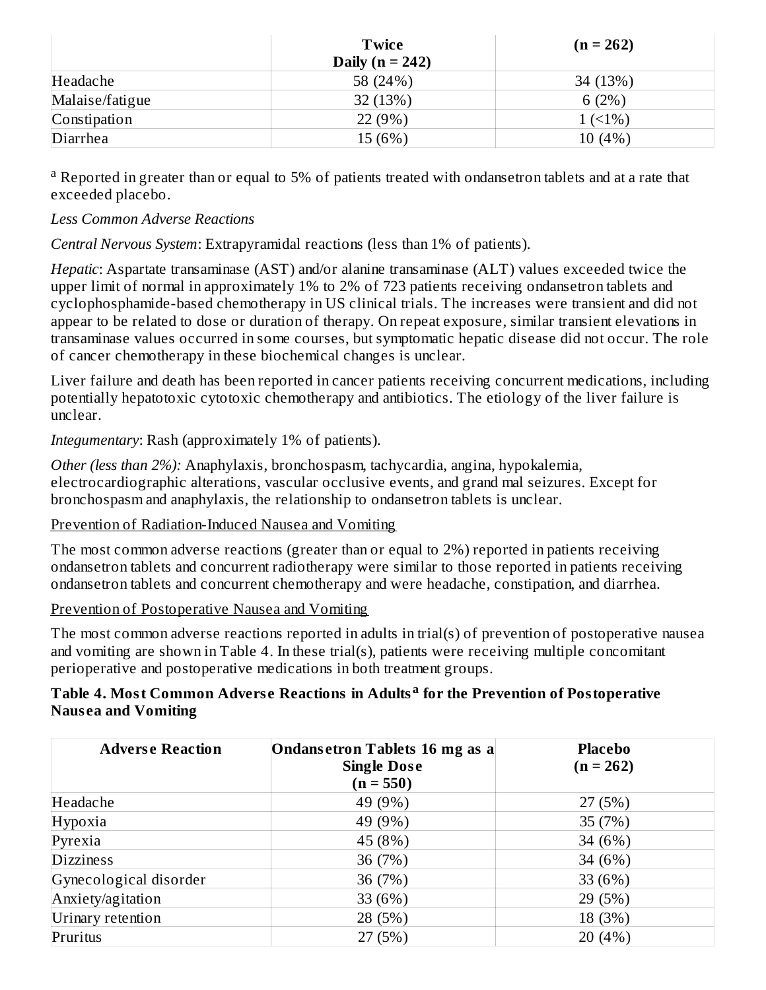|                 | <b>Twice</b><br>Daily ( $n = 242$ ) | $(n = 262)$ |
|-----------------|-------------------------------------|-------------|
|                 |                                     |             |
| Headache        | 58 (24%)                            | 34 (13%)    |
| Malaise/fatigue | 32(13%)                             | 6(2%)       |
| Constipation    | 22 (9%)                             | $1(51\%)$   |
| Diarrhea        | 15 (6%)                             | 10(4%)      |

<sup>a</sup> Reported in greater than or equal to 5% of patients treated with ondansetron tablets and at a rate that exceeded placebo.

#### *Less Common Adverse Reactions*

*Central Nervous System*: Extrapyramidal reactions (less than 1% of patients).

*Hepatic*: Aspartate transaminase (AST) and/or alanine transaminase (ALT) values exceeded twice the upper limit of normal in approximately 1% to 2% of 723 patients receiving ondansetron tablets and cyclophosphamide-based chemotherapy in US clinical trials. The increases were transient and did not appear to be related to dose or duration of therapy. On repeat exposure, similar transient elevations in transaminase values occurred in some courses, but symptomatic hepatic disease did not occur. The role of cancer chemotherapy in these biochemical changes is unclear.

Liver failure and death has been reported in cancer patients receiving concurrent medications, including potentially hepatotoxic cytotoxic chemotherapy and antibiotics. The etiology of the liver failure is unclear.

*Integumentary*: Rash (approximately 1% of patients).

*Other (less than 2%):* Anaphylaxis, bronchospasm, tachycardia, angina, hypokalemia, electrocardiographic alterations, vascular occlusive events, and grand mal seizures. Except for bronchospasm and anaphylaxis, the relationship to ondansetron tablets is unclear.

#### Prevention of Radiation-Induced Nausea and Vomiting

The most common adverse reactions (greater than or equal to 2%) reported in patients receiving ondansetron tablets and concurrent radiotherapy were similar to those reported in patients receiving ondansetron tablets and concurrent chemotherapy and were headache, constipation, and diarrhea.

#### Prevention of Postoperative Nausea and Vomiting

The most common adverse reactions reported in adults in trial(s) of prevention of postoperative nausea and vomiting are shown in Table 4. In these trial(s), patients were receiving multiple concomitant perioperative and postoperative medications in both treatment groups.

#### **Table 4. Most Common Advers e Reactions in Adults for the Prevention of Postoperative aNaus ea and Vomiting**

| <b>Adverse Reaction</b> | Ondansetron Tablets 16 mg as a<br><b>Single Dose</b><br>$(n = 550)$ | <b>Placebo</b><br>$(n = 262)$ |
|-------------------------|---------------------------------------------------------------------|-------------------------------|
| Headache                | 49 (9%)                                                             | 27(5%)                        |
| Hypoxia                 | 49 (9%)                                                             | 35 (7%)                       |
| Pyrexia                 | 45 (8%)                                                             | 34 (6%)                       |
| <b>Dizziness</b>        | 36 (7%)                                                             | 34 (6%)                       |
| Gynecological disorder  | 36 (7%)                                                             | 33 (6%)                       |
| Anxiety/agitation       | 33 (6%)                                                             | 29 (5%)                       |
| Urinary retention       | 28 (5%)                                                             | 18 (3%)                       |
| Pruritus                | 27 (5%)                                                             | 20(4%)                        |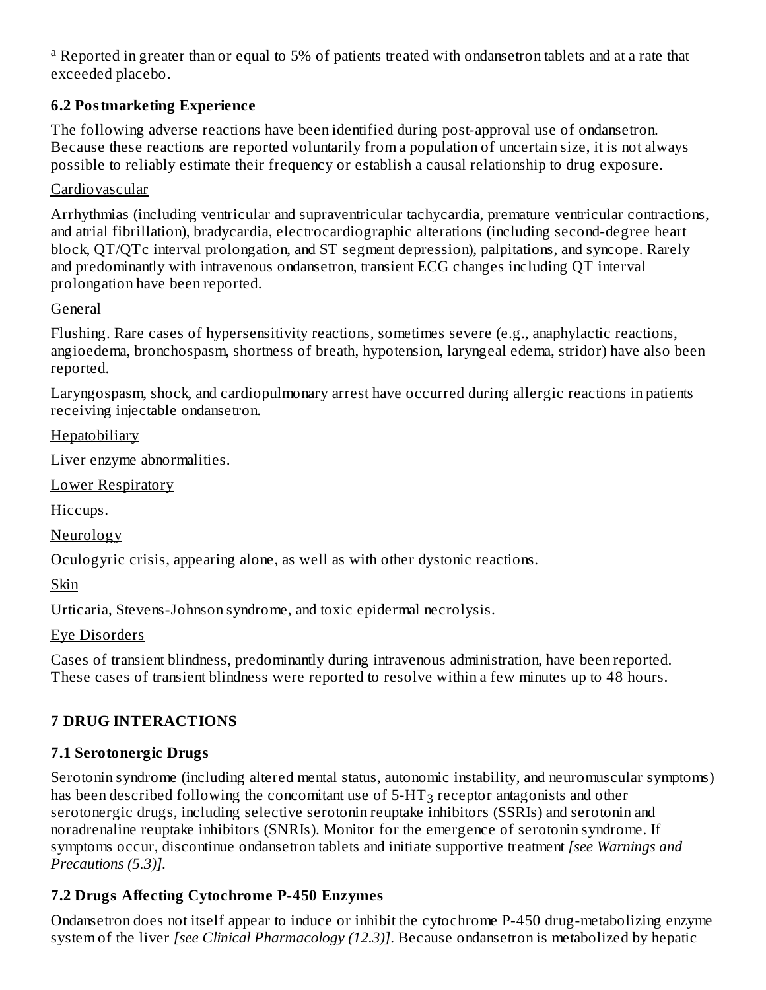<sup>a</sup> Reported in greater than or equal to 5% of patients treated with ondansetron tablets and at a rate that exceeded placebo.

### **6.2 Postmarketing Experience**

The following adverse reactions have been identified during post-approval use of ondansetron. Because these reactions are reported voluntarily from a population of uncertain size, it is not always possible to reliably estimate their frequency or establish a causal relationship to drug exposure.

#### Cardiovascular

Arrhythmias (including ventricular and supraventricular tachycardia, premature ventricular contractions, and atrial fibrillation), bradycardia, electrocardiographic alterations (including second-degree heart block, QT/QTc interval prolongation, and ST segment depression), palpitations, and syncope. Rarely and predominantly with intravenous ondansetron, transient ECG changes including QT interval prolongation have been reported.

#### General

Flushing. Rare cases of hypersensitivity reactions, sometimes severe (e.g., anaphylactic reactions, angioedema, bronchospasm, shortness of breath, hypotension, laryngeal edema, stridor) have also been reported.

Laryngospasm, shock, and cardiopulmonary arrest have occurred during allergic reactions in patients receiving injectable ondansetron.

**Hepatobiliary** 

Liver enzyme abnormalities.

Lower Respiratory

Hiccups.

Neurology

Oculogyric crisis, appearing alone, as well as with other dystonic reactions.

Skin

Urticaria, Stevens-Johnson syndrome, and toxic epidermal necrolysis.

Eye Disorders

Cases of transient blindness, predominantly during intravenous administration, have been reported. These cases of transient blindness were reported to resolve within a few minutes up to 48 hours.

### **7 DRUG INTERACTIONS**

### **7.1 Serotonergic Drugs**

Serotonin syndrome (including altered mental status, autonomic instability, and neuromuscular symptoms) has been described following the concomitant use of 5-HT $_3$  receptor antagonists and other serotonergic drugs, including selective serotonin reuptake inhibitors (SSRIs) and serotonin and noradrenaline reuptake inhibitors (SNRIs). Monitor for the emergence of serotonin syndrome. If symptoms occur, discontinue ondansetron tablets and initiate supportive treatment *[see Warnings and Precautions (5.3)].*

### **7.2 Drugs Affecting Cytochrome P-450 Enzymes**

Ondansetron does not itself appear to induce or inhibit the cytochrome P-450 drug-metabolizing enzyme system of the liver *[see Clinical Pharmacology (12.3)]*. Because ondansetron is metabolized by hepatic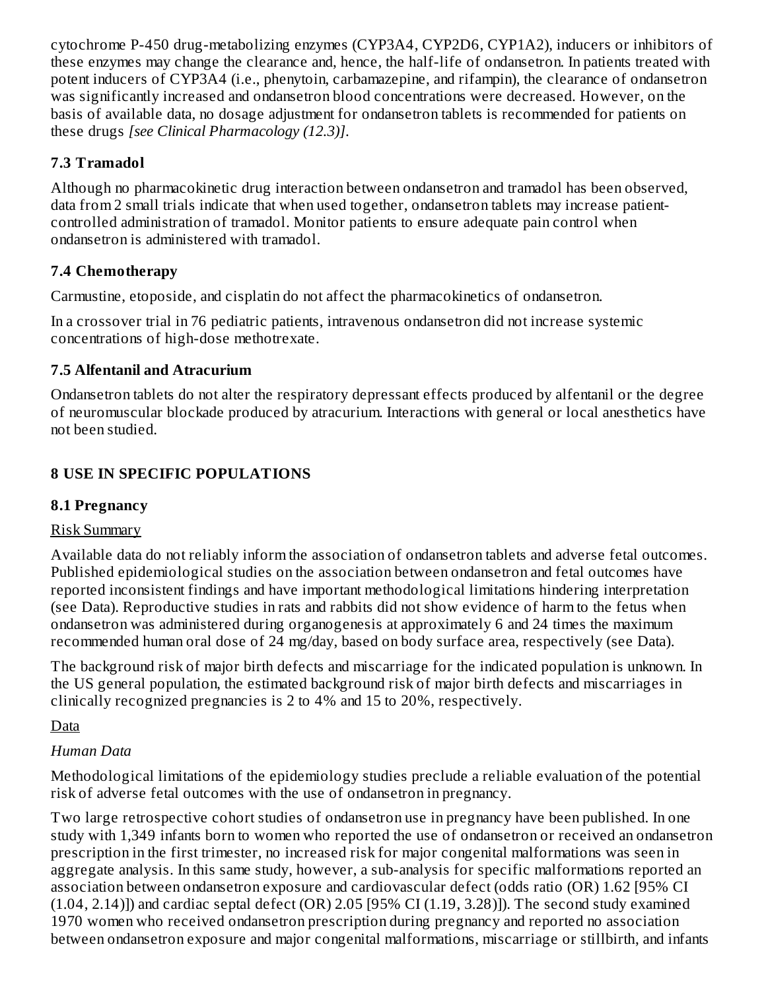cytochrome P-450 drug-metabolizing enzymes (CYP3A4, CYP2D6, CYP1A2), inducers or inhibitors of these enzymes may change the clearance and, hence, the half-life of ondansetron. In patients treated with potent inducers of CYP3A4 (i.e., phenytoin, carbamazepine, and rifampin), the clearance of ondansetron was significantly increased and ondansetron blood concentrations were decreased. However, on the basis of available data, no dosage adjustment for ondansetron tablets is recommended for patients on these drugs *[see Clinical Pharmacology (12.3)]*.

## **7.3 Tramadol**

Although no pharmacokinetic drug interaction between ondansetron and tramadol has been observed, data from 2 small trials indicate that when used together, ondansetron tablets may increase patientcontrolled administration of tramadol. Monitor patients to ensure adequate pain control when ondansetron is administered with tramadol.

### **7.4 Chemotherapy**

Carmustine, etoposide, and cisplatin do not affect the pharmacokinetics of ondansetron.

In a crossover trial in 76 pediatric patients, intravenous ondansetron did not increase systemic concentrations of high-dose methotrexate.

### **7.5 Alfentanil and Atracurium**

Ondansetron tablets do not alter the respiratory depressant effects produced by alfentanil or the degree of neuromuscular blockade produced by atracurium. Interactions with general or local anesthetics have not been studied.

### **8 USE IN SPECIFIC POPULATIONS**

### **8.1 Pregnancy**

### Risk Summary

Available data do not reliably inform the association of ondansetron tablets and adverse fetal outcomes. Published epidemiological studies on the association between ondansetron and fetal outcomes have reported inconsistent findings and have important methodological limitations hindering interpretation (see Data). Reproductive studies in rats and rabbits did not show evidence of harm to the fetus when ondansetron was administered during organogenesis at approximately 6 and 24 times the maximum recommended human oral dose of 24 mg/day, based on body surface area, respectively (see Data).

The background risk of major birth defects and miscarriage for the indicated population is unknown. In the US general population, the estimated background risk of major birth defects and miscarriages in clinically recognized pregnancies is 2 to 4% and 15 to 20%, respectively.

### Data

### *Human Data*

Methodological limitations of the epidemiology studies preclude a reliable evaluation of the potential risk of adverse fetal outcomes with the use of ondansetron in pregnancy.

Two large retrospective cohort studies of ondansetron use in pregnancy have been published. In one study with 1,349 infants born to women who reported the use of ondansetron or received an ondansetron prescription in the first trimester, no increased risk for major congenital malformations was seen in aggregate analysis. In this same study, however, a sub-analysis for specific malformations reported an association between ondansetron exposure and cardiovascular defect (odds ratio (OR) 1.62 [95% CI  $(1.04, 2.14)$ ]) and cardiac septal defect  $(OR)$  2.05 [95% CI  $(1.19, 3.28)$ ]). The second study examined 1970 women who received ondansetron prescription during pregnancy and reported no association between ondansetron exposure and major congenital malformations, miscarriage or stillbirth, and infants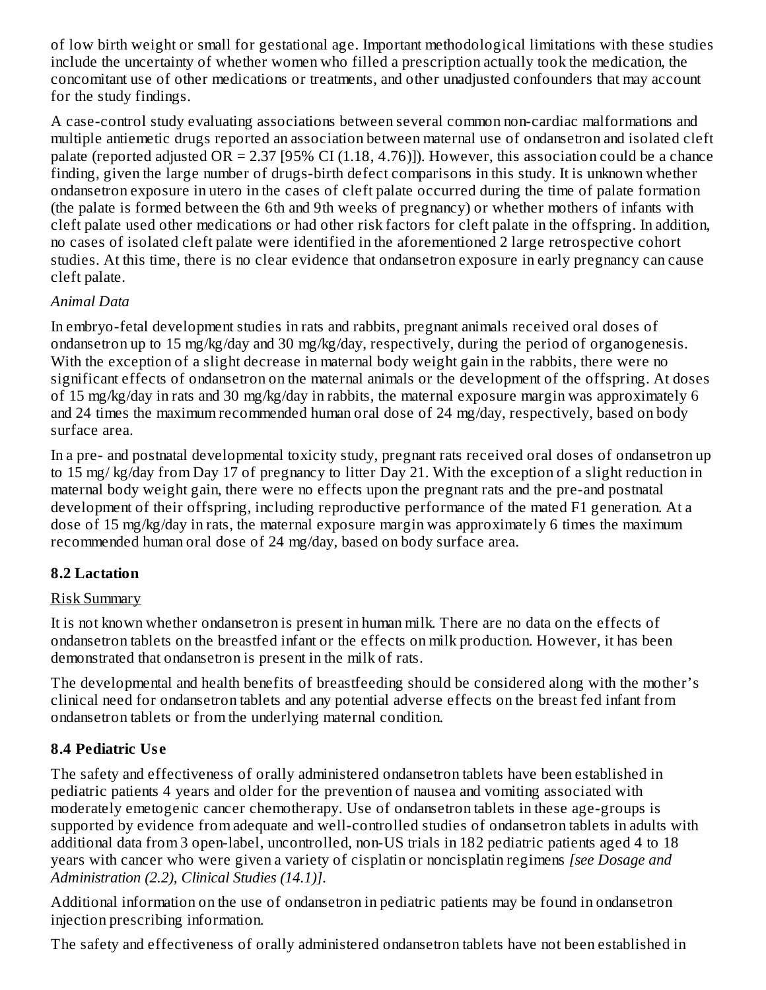of low birth weight or small for gestational age. Important methodological limitations with these studies include the uncertainty of whether women who filled a prescription actually took the medication, the concomitant use of other medications or treatments, and other unadjusted confounders that may account for the study findings.

A case-control study evaluating associations between several common non-cardiac malformations and multiple antiemetic drugs reported an association between maternal use of ondansetron and isolated cleft palate (reported adjusted OR = 2.37 [95% CI (1.18, 4.76)]). However, this association could be a chance finding, given the large number of drugs-birth defect comparisons in this study. It is unknown whether ondansetron exposure in utero in the cases of cleft palate occurred during the time of palate formation (the palate is formed between the 6th and 9th weeks of pregnancy) or whether mothers of infants with cleft palate used other medications or had other risk factors for cleft palate in the offspring. In addition, no cases of isolated cleft palate were identified in the aforementioned 2 large retrospective cohort studies. At this time, there is no clear evidence that ondansetron exposure in early pregnancy can cause cleft palate.

#### *Animal Data*

In embryo-fetal development studies in rats and rabbits, pregnant animals received oral doses of ondansetron up to 15 mg/kg/day and 30 mg/kg/day, respectively, during the period of organogenesis. With the exception of a slight decrease in maternal body weight gain in the rabbits, there were no significant effects of ondansetron on the maternal animals or the development of the offspring. At doses of 15 mg/kg/day in rats and 30 mg/kg/day in rabbits, the maternal exposure margin was approximately 6 and 24 times the maximum recommended human oral dose of 24 mg/day, respectively, based on body surface area.

In a pre- and postnatal developmental toxicity study, pregnant rats received oral doses of ondansetron up to 15 mg/ kg/day from Day 17 of pregnancy to litter Day 21. With the exception of a slight reduction in maternal body weight gain, there were no effects upon the pregnant rats and the pre-and postnatal development of their offspring, including reproductive performance of the mated F1 generation. At a dose of 15 mg/kg/day in rats, the maternal exposure margin was approximately 6 times the maximum recommended human oral dose of 24 mg/day, based on body surface area.

### **8.2 Lactation**

#### Risk Summary

It is not known whether ondansetron is present in human milk. There are no data on the effects of ondansetron tablets on the breastfed infant or the effects on milk production. However, it has been demonstrated that ondansetron is present in the milk of rats.

The developmental and health benefits of breastfeeding should be considered along with the mother's clinical need for ondansetron tablets and any potential adverse effects on the breast fed infant from ondansetron tablets or from the underlying maternal condition.

### **8.4 Pediatric Us e**

The safety and effectiveness of orally administered ondansetron tablets have been established in pediatric patients 4 years and older for the prevention of nausea and vomiting associated with moderately emetogenic cancer chemotherapy. Use of ondansetron tablets in these age-groups is supported by evidence from adequate and well-controlled studies of ondansetron tablets in adults with additional data from 3 open-label, uncontrolled, non-US trials in 182 pediatric patients aged 4 to 18 years with cancer who were given a variety of cisplatin or noncisplatin regimens *[see Dosage and Administration (2.2), Clinical Studies (14.1)]*.

Additional information on the use of ondansetron in pediatric patients may be found in ondansetron injection prescribing information.

The safety and effectiveness of orally administered ondansetron tablets have not been established in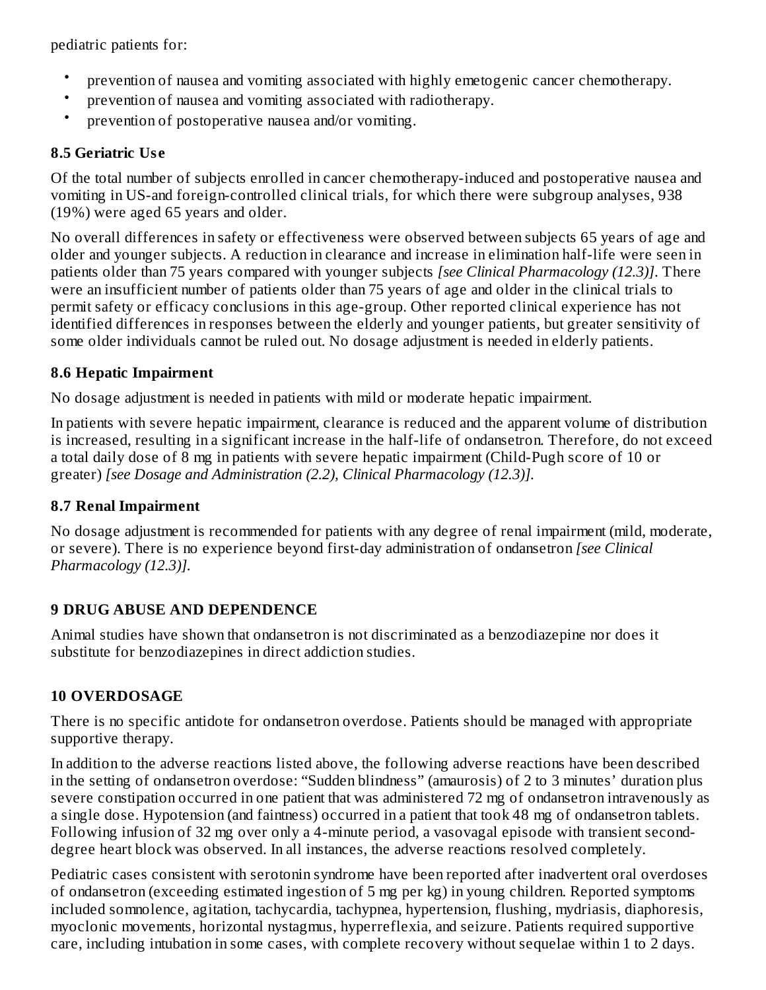pediatric patients for:

- prevention of nausea and vomiting associated with highly emetogenic cancer chemotherapy.
- prevention of nausea and vomiting associated with radiotherapy.
- prevention of postoperative nausea and/or vomiting.

### **8.5 Geriatric Us e**

Of the total number of subjects enrolled in cancer chemotherapy-induced and postoperative nausea and vomiting in US-and foreign-controlled clinical trials, for which there were subgroup analyses, 938 (19%) were aged 65 years and older.

No overall differences in safety or effectiveness were observed between subjects 65 years of age and older and younger subjects. A reduction in clearance and increase in elimination half-life were seen in patients older than 75 years compared with younger subjects *[see Clinical Pharmacology (12.3)]*. There were an insufficient number of patients older than 75 years of age and older in the clinical trials to permit safety or efficacy conclusions in this age-group. Other reported clinical experience has not identified differences in responses between the elderly and younger patients, but greater sensitivity of some older individuals cannot be ruled out. No dosage adjustment is needed in elderly patients.

### **8.6 Hepatic Impairment**

No dosage adjustment is needed in patients with mild or moderate hepatic impairment.

In patients with severe hepatic impairment, clearance is reduced and the apparent volume of distribution is increased, resulting in a significant increase in the half-life of ondansetron. Therefore, do not exceed a total daily dose of 8 mg in patients with severe hepatic impairment (Child-Pugh score of 10 or greater) *[see Dosage and Administration (2.2), Clinical Pharmacology (12.3)].*

### **8.7 Renal Impairment**

No dosage adjustment is recommended for patients with any degree of renal impairment (mild, moderate, or severe). There is no experience beyond first-day administration of ondansetron *[see Clinical Pharmacology (12.3)].*

# **9 DRUG ABUSE AND DEPENDENCE**

Animal studies have shown that ondansetron is not discriminated as a benzodiazepine nor does it substitute for benzodiazepines in direct addiction studies.

### **10 OVERDOSAGE**

There is no specific antidote for ondansetron overdose. Patients should be managed with appropriate supportive therapy.

In addition to the adverse reactions listed above, the following adverse reactions have been described in the setting of ondansetron overdose: "Sudden blindness" (amaurosis) of 2 to 3 minutes' duration plus severe constipation occurred in one patient that was administered 72 mg of ondansetron intravenously as a single dose. Hypotension (and faintness) occurred in a patient that took 48 mg of ondansetron tablets. Following infusion of 32 mg over only a 4-minute period, a vasovagal episode with transient seconddegree heart block was observed. In all instances, the adverse reactions resolved completely.

Pediatric cases consistent with serotonin syndrome have been reported after inadvertent oral overdoses of ondansetron (exceeding estimated ingestion of 5 mg per kg) in young children. Reported symptoms included somnolence, agitation, tachycardia, tachypnea, hypertension, flushing, mydriasis, diaphoresis, myoclonic movements, horizontal nystagmus, hyperreflexia, and seizure. Patients required supportive care, including intubation in some cases, with complete recovery without sequelae within 1 to 2 days.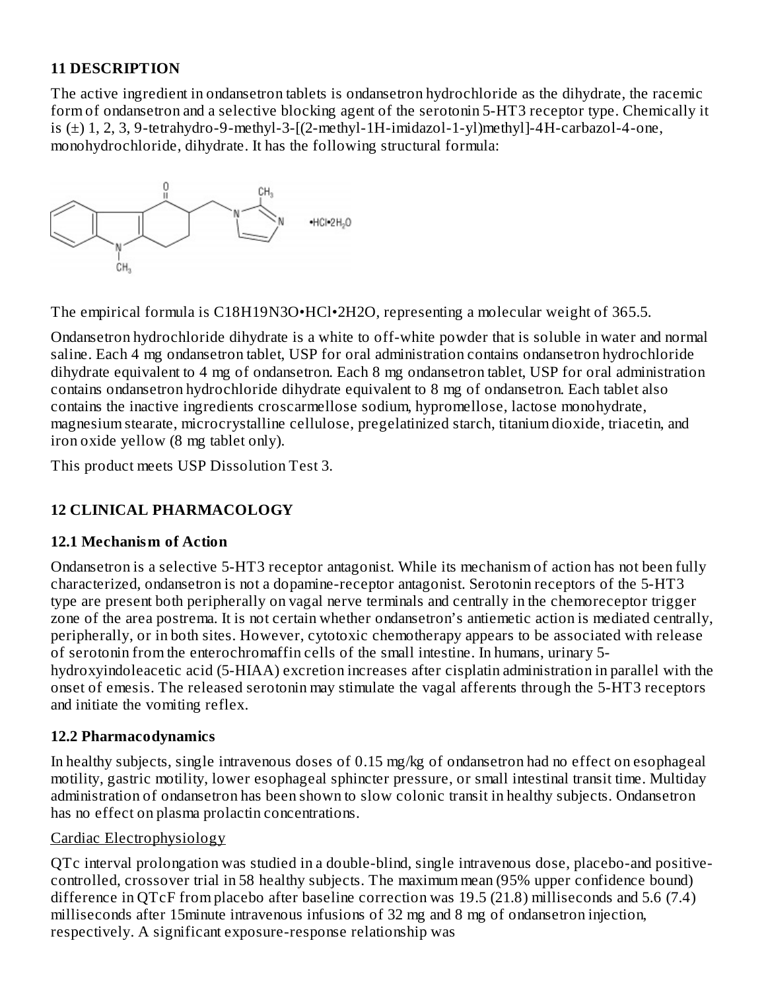### **11 DESCRIPTION**

The active ingredient in ondansetron tablets is ondansetron hydrochloride as the dihydrate, the racemic form of ondansetron and a selective blocking agent of the serotonin 5-HT3 receptor type. Chemically it is (±) 1, 2, 3, 9-tetrahydro-9-methyl-3-[(2-methyl-1H-imidazol-1-yl)methyl]-4H-carbazol-4-one, monohydrochloride, dihydrate. It has the following structural formula:



The empirical formula is C18H19N3O•HCl•2H2O, representing a molecular weight of 365.5.

Ondansetron hydrochloride dihydrate is a white to off-white powder that is soluble in water and normal saline. Each 4 mg ondansetron tablet, USP for oral administration contains ondansetron hydrochloride dihydrate equivalent to 4 mg of ondansetron. Each 8 mg ondansetron tablet, USP for oral administration contains ondansetron hydrochloride dihydrate equivalent to 8 mg of ondansetron. Each tablet also contains the inactive ingredients croscarmellose sodium, hypromellose, lactose monohydrate, magnesium stearate, microcrystalline cellulose, pregelatinized starch, titanium dioxide, triacetin, and iron oxide yellow (8 mg tablet only).

This product meets USP Dissolution Test 3.

# **12 CLINICAL PHARMACOLOGY**

#### **12.1 Mechanism of Action**

Ondansetron is a selective 5-HT3 receptor antagonist. While its mechanism of action has not been fully characterized, ondansetron is not a dopamine-receptor antagonist. Serotonin receptors of the 5-HT3 type are present both peripherally on vagal nerve terminals and centrally in the chemoreceptor trigger zone of the area postrema. It is not certain whether ondansetron's antiemetic action is mediated centrally, peripherally, or in both sites. However, cytotoxic chemotherapy appears to be associated with release of serotonin from the enterochromaffin cells of the small intestine. In humans, urinary 5 hydroxyindoleacetic acid (5-HIAA) excretion increases after cisplatin administration in parallel with the onset of emesis. The released serotonin may stimulate the vagal afferents through the 5-HT3 receptors and initiate the vomiting reflex.

### **12.2 Pharmacodynamics**

In healthy subjects, single intravenous doses of 0.15 mg/kg of ondansetron had no effect on esophageal motility, gastric motility, lower esophageal sphincter pressure, or small intestinal transit time. Multiday administration of ondansetron has been shown to slow colonic transit in healthy subjects. Ondansetron has no effect on plasma prolactin concentrations.

#### Cardiac Electrophysiology

QTc interval prolongation was studied in a double-blind, single intravenous dose, placebo-and positivecontrolled, crossover trial in 58 healthy subjects. The maximum mean (95% upper confidence bound) difference in QTcF from placebo after baseline correction was 19.5 (21.8) milliseconds and 5.6 (7.4) milliseconds after 15minute intravenous infusions of 32 mg and 8 mg of ondansetron injection, respectively. A significant exposure-response relationship was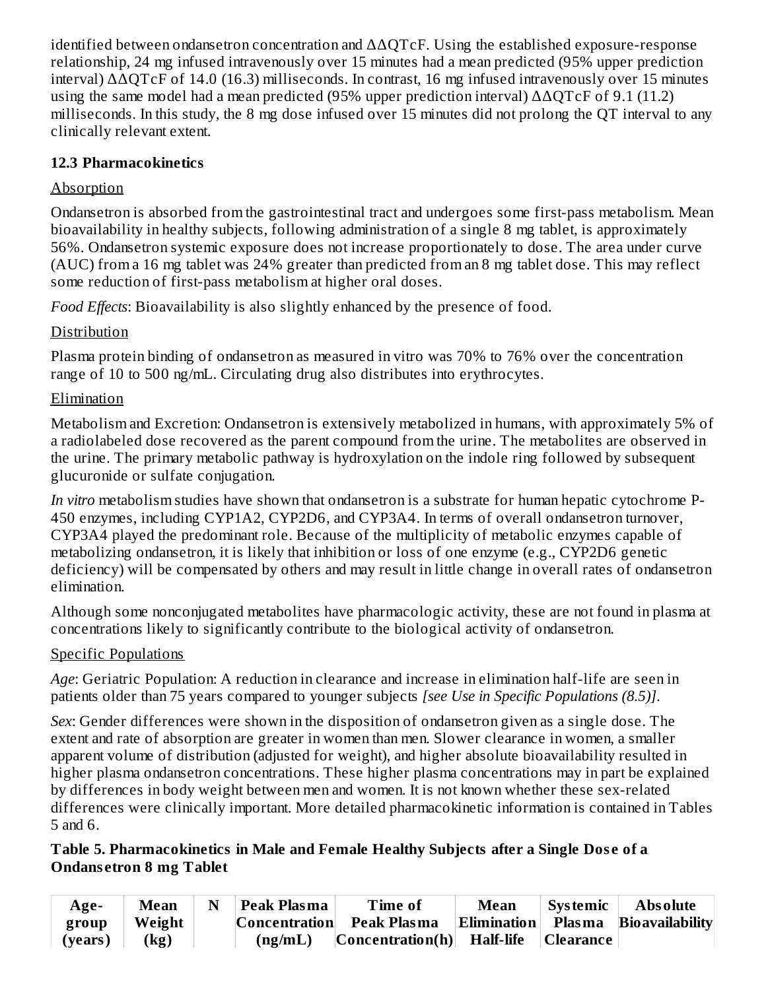identified between ondansetron concentration and ΔΔQTcF. Using the established exposure-response relationship, 24 mg infused intravenously over 15 minutes had a mean predicted (95% upper prediction interval) ΔΔQTcF of 14.0 (16.3) milliseconds. In contrast, 16 mg infused intravenously over 15 minutes using the same model had a mean predicted (95% upper prediction interval)  $\triangle$  AQTcF of 9.1 (11.2) milliseconds. In this study, the 8 mg dose infused over 15 minutes did not prolong the QT interval to any clinically relevant extent.

### **12.3 Pharmacokinetics**

# **Absorption**

Ondansetron is absorbed from the gastrointestinal tract and undergoes some first-pass metabolism. Mean bioavailability in healthy subjects, following administration of a single 8 mg tablet, is approximately 56%. Ondansetron systemic exposure does not increase proportionately to dose. The area under curve (AUC) from a 16 mg tablet was 24% greater than predicted from an 8 mg tablet dose. This may reflect some reduction of first-pass metabolism at higher oral doses.

*Food Effects*: Bioavailability is also slightly enhanced by the presence of food.

# Distribution

Plasma protein binding of ondansetron as measured in vitro was 70% to 76% over the concentration range of 10 to 500 ng/mL. Circulating drug also distributes into erythrocytes.

# Elimination

Metabolism and Excretion: Ondansetron is extensively metabolized in humans, with approximately 5% of a radiolabeled dose recovered as the parent compound from the urine. The metabolites are observed in the urine. The primary metabolic pathway is hydroxylation on the indole ring followed by subsequent glucuronide or sulfate conjugation.

*In vitro* metabolism studies have shown that ondansetron is a substrate for human hepatic cytochrome P-450 enzymes, including CYP1A2, CYP2D6, and CYP3A4. In terms of overall ondansetron turnover, CYP3A4 played the predominant role. Because of the multiplicity of metabolic enzymes capable of metabolizing ondansetron, it is likely that inhibition or loss of one enzyme (e.g., CYP2D6 genetic deficiency) will be compensated by others and may result in little change in overall rates of ondansetron elimination.

Although some nonconjugated metabolites have pharmacologic activity, these are not found in plasma at concentrations likely to significantly contribute to the biological activity of ondansetron.

# Specific Populations

*Age*: Geriatric Population: A reduction in clearance and increase in elimination half-life are seen in patients older than 75 years compared to younger subjects *[see Use in Specific Populations (8.5)]*.

*Sex*: Gender differences were shown in the disposition of ondansetron given as a single dose. The extent and rate of absorption are greater in women than men. Slower clearance in women, a smaller apparent volume of distribution (adjusted for weight), and higher absolute bioavailability resulted in higher plasma ondansetron concentrations. These higher plasma concentrations may in part be explained by differences in body weight between men and women. It is not known whether these sex-related differences were clinically important. More detailed pharmacokinetic information is contained in Tables 5 and 6.

#### **Table 5. Pharmacokinetics in Male and Female Healthy Subjects after a Single Dos e of a Ondans etron 8 mg Tablet**

| Age-    | <b>Mean</b> | N | Peak Plasma | <b>Time of</b>                                               | <b>Mean</b> | <b>Systemic</b> | <b>Absolute</b> |
|---------|-------------|---|-------------|--------------------------------------------------------------|-------------|-----------------|-----------------|
| group   | ∣ Weight    |   |             | Concentration Peak Plasma Elimination Plasma Bioavailability |             |                 |                 |
| (vears) | (kg)        |   | (ng/mL)     | $ Concentration(h) $ Half-life $ Clearance $                 |             |                 |                 |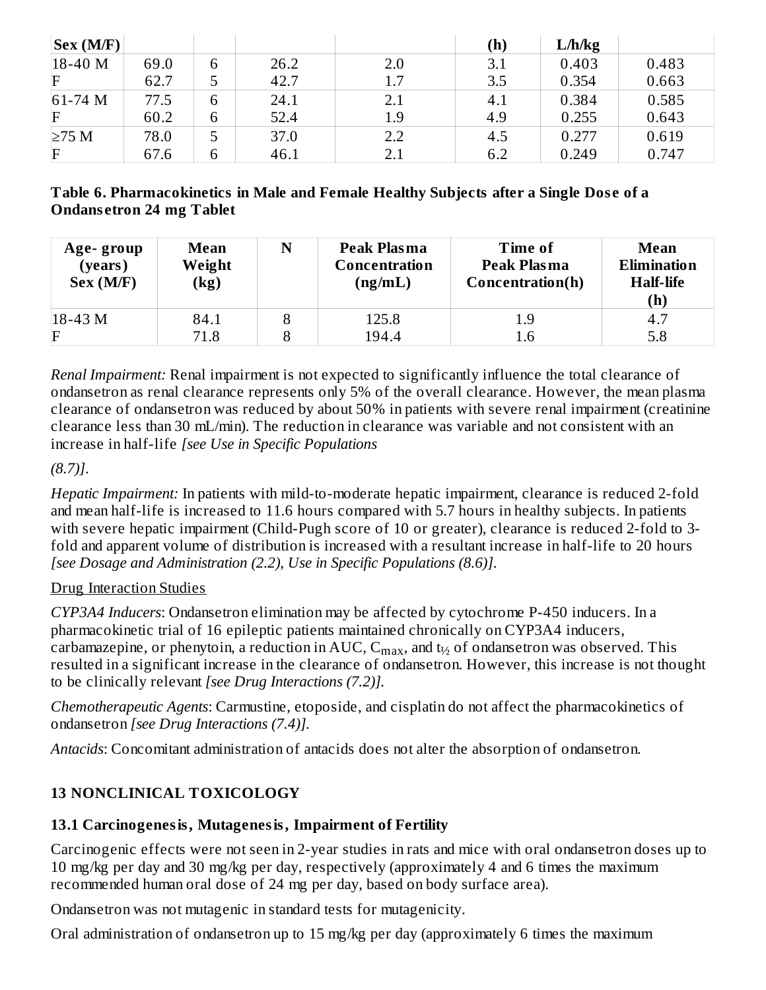| Sex(M/F)            |      |   |      |     | (h) | L/h/kg |       |
|---------------------|------|---|------|-----|-----|--------|-------|
| $ 18-40 \text{ M} $ | 69.0 | 6 | 26.2 | 2.0 | 3.1 | 0.403  | 0.483 |
| $\mathbf F$         | 62.7 | 5 | 42.7 | 1.7 | 3.5 | 0.354  | 0.663 |
| $61-74$ M           | 77.5 | 6 | 24.1 | 2.1 | 4.1 | 0.384  | 0.585 |
| $\mathbf F$         | 60.2 | 6 | 52.4 | 1.9 | 4.9 | 0.255  | 0.643 |
| $\geq$ 75 M         | 78.0 | 5 | 37.0 | 2.2 | 4.5 | 0.277  | 0.619 |
| $\mathbf{F}$        | 67.6 | 6 | 46.1 | 2.1 | 6.2 | 0.249  | 0.747 |

#### **Table 6. Pharmacokinetics in Male and Female Healthy Subjects after a Single Dos e of a Ondans etron 24 mg Tablet**

| Age-group<br>(years)<br>Sex (M/F) | <b>Mean</b><br>Weight<br>$\left(\mathrm{kg}\right)$ | N | Peak Plasma<br>Concentration<br>(ng/mL) | Time of<br>Peak Plasma<br>Concentration(h) | <b>Mean</b><br><b>Elimination</b><br><b>Half-life</b><br>(h) |
|-----------------------------------|-----------------------------------------------------|---|-----------------------------------------|--------------------------------------------|--------------------------------------------------------------|
| $18-43 M$                         | 84.1                                                | 8 | 125.8                                   | 1.9                                        | 4.7                                                          |
| $\mathbf F$                       | 71.8                                                |   | 194.4                                   | I.6                                        | 5.8                                                          |

*Renal Impairment:* Renal impairment is not expected to significantly influence the total clearance of ondansetron as renal clearance represents only 5% of the overall clearance. However, the mean plasma clearance of ondansetron was reduced by about 50% in patients with severe renal impairment (creatinine clearance less than 30 mL/min). The reduction in clearance was variable and not consistent with an increase in half-life *[see Use in Specific Populations*

*(8.7)]*.

*Hepatic Impairment:* In patients with mild-to-moderate hepatic impairment, clearance is reduced 2-fold and mean half-life is increased to 11.6 hours compared with 5.7 hours in healthy subjects. In patients with severe hepatic impairment (Child-Pugh score of 10 or greater), clearance is reduced 2-fold to 3 fold and apparent volume of distribution is increased with a resultant increase in half-life to 20 hours *[see Dosage and Administration (2.2), Use in Specific Populations (8.6)]*.

### Drug Interaction Studies

*CYP3A4 Inducers*: Ondansetron elimination may be affected by cytochrome P-450 inducers. In a pharmacokinetic trial of 16 epileptic patients maintained chronically on CYP3A4 inducers, carbamazepine, or phenytoin, a reduction in AUC,  $\mathsf{C_{max}}$ , and  $\mathsf{t_{\mathit{y_{2}}}}$  of ondansetron was observed. This resulted in a significant increase in the clearance of ondansetron. However, this increase is not thought to be clinically relevant *[see Drug Interactions (7.2)].*

*Chemotherapeutic Agents*: Carmustine, etoposide, and cisplatin do not affect the pharmacokinetics of ondansetron *[see Drug Interactions (7.4)].*

*Antacids*: Concomitant administration of antacids does not alter the absorption of ondansetron.

# **13 NONCLINICAL TOXICOLOGY**

# **13.1 Carcinogenesis, Mutagenesis, Impairment of Fertility**

Carcinogenic effects were not seen in 2-year studies in rats and mice with oral ondansetron doses up to 10 mg/kg per day and 30 mg/kg per day, respectively (approximately 4 and 6 times the maximum recommended human oral dose of 24 mg per day, based on body surface area).

Ondansetron was not mutagenic in standard tests for mutagenicity.

Oral administration of ondansetron up to 15 mg/kg per day (approximately 6 times the maximum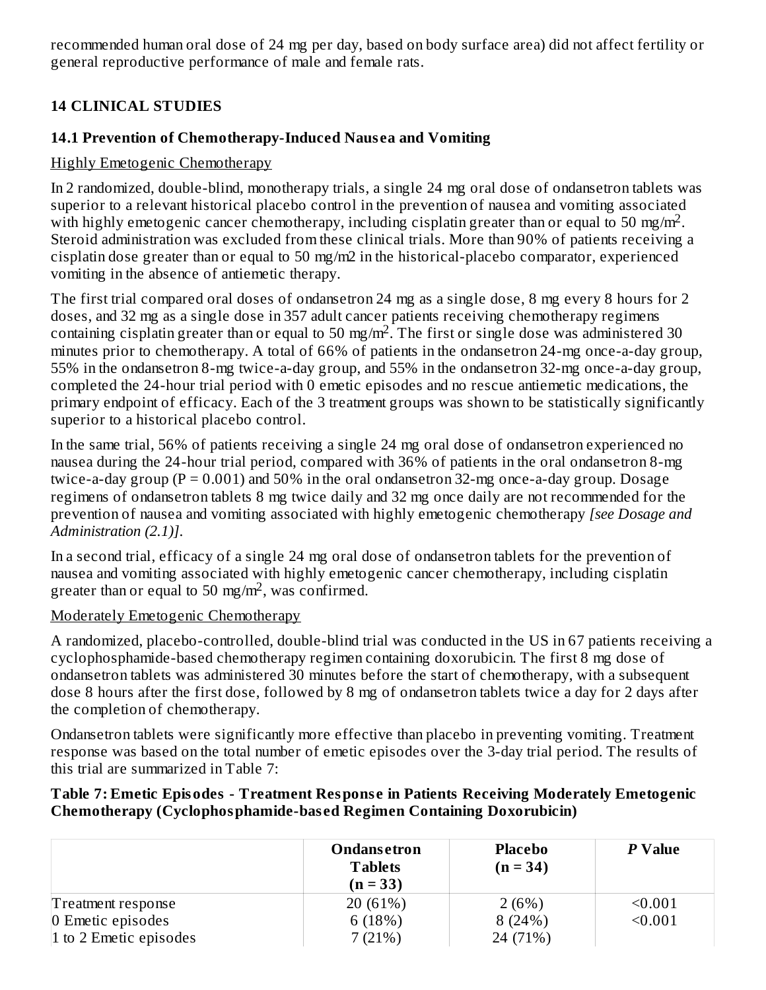recommended human oral dose of 24 mg per day, based on body surface area) did not affect fertility or general reproductive performance of male and female rats.

# **14 CLINICAL STUDIES**

### **14.1 Prevention of Chemotherapy-Induced Naus ea and Vomiting**

### Highly Emetogenic Chemotherapy

In 2 randomized, double-blind, monotherapy trials, a single 24 mg oral dose of ondansetron tablets was superior to a relevant historical placebo control in the prevention of nausea and vomiting associated with highly emetogenic cancer chemotherapy, including cisplatin greater than or equal to 50 mg/m<sup>2</sup>. Steroid administration was excluded from these clinical trials. More than 90% of patients receiving a cisplatin dose greater than or equal to 50 mg/m2 in the historical-placebo comparator, experienced vomiting in the absence of antiemetic therapy.

The first trial compared oral doses of ondansetron 24 mg as a single dose, 8 mg every 8 hours for 2 doses, and 32 mg as a single dose in 357 adult cancer patients receiving chemotherapy regimens containing cisplatin greater than or equal to 50 mg/m<sup>2</sup>. The first or single dose was administered 30 minutes prior to chemotherapy. A total of 66% of patients in the ondansetron 24-mg once-a-day group, 55% in the ondansetron 8-mg twice-a-day group, and 55% in the ondansetron 32-mg once-a-day group, completed the 24-hour trial period with 0 emetic episodes and no rescue antiemetic medications, the primary endpoint of efficacy. Each of the 3 treatment groups was shown to be statistically significantly superior to a historical placebo control.

In the same trial, 56% of patients receiving a single 24 mg oral dose of ondansetron experienced no nausea during the 24-hour trial period, compared with 36% of patients in the oral ondansetron 8-mg twice-a-day group ( $P = 0.001$ ) and 50% in the oral ondansetron 32-mg once-a-day group. Dosage regimens of ondansetron tablets 8 mg twice daily and 32 mg once daily are not recommended for the prevention of nausea and vomiting associated with highly emetogenic chemotherapy *[see Dosage and Administration (2.1)]*.

In a second trial, efficacy of a single 24 mg oral dose of ondansetron tablets for the prevention of nausea and vomiting associated with highly emetogenic cancer chemotherapy, including cisplatin greater than or equal to 50 mg/m<sup>2</sup>, was confirmed.

### Moderately Emetogenic Chemotherapy

A randomized, placebo-controlled, double-blind trial was conducted in the US in 67 patients receiving a cyclophosphamide-based chemotherapy regimen containing doxorubicin. The first 8 mg dose of ondansetron tablets was administered 30 minutes before the start of chemotherapy, with a subsequent dose 8 hours after the first dose, followed by 8 mg of ondansetron tablets twice a day for 2 days after the completion of chemotherapy.

Ondansetron tablets were significantly more effective than placebo in preventing vomiting. Treatment response was based on the total number of emetic episodes over the 3-day trial period. The results of this trial are summarized in Table 7:

#### **Table 7: Emetic Episodes - Treatment Respons e in Patients Receiving Moderately Emetogenic Chemotherapy (Cyclophosphamide-bas ed Regimen Containing Doxorubicin)**

|                        | <b>Ondansetron</b><br>Tablets<br>$(n = 33)$ | <b>Placebo</b><br>$(n = 34)$ | P Value |
|------------------------|---------------------------------------------|------------------------------|---------|
| Treatment response     | 20(61%)                                     | 2(6%)                        | < 0.001 |
| 0 Emetic episodes      | 6(18%)                                      | 8(24%)                       | < 0.001 |
| 1 to 2 Emetic episodes | 7(21%)                                      | 24 (71%)                     |         |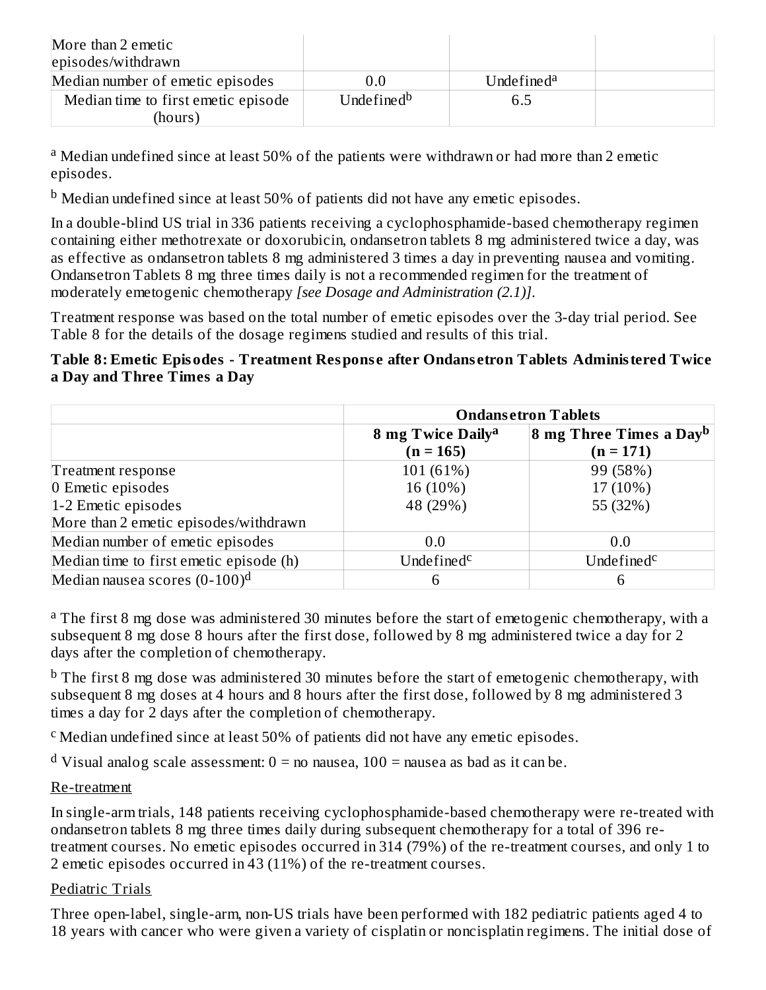| More than 2 emetic<br>episodes/withdrawn |                        |                        |  |
|------------------------------------------|------------------------|------------------------|--|
| Median number of emetic episodes         | 0.0                    | Undefined <sup>a</sup> |  |
| Median time to first emetic episode      | Undefined <sup>b</sup> | 6.5                    |  |
| (hours)                                  |                        |                        |  |

<sup>a</sup> Median undefined since at least 50% of the patients were withdrawn or had more than 2 emetic episodes.

 $^{\rm b}$  Median undefined since at least 50% of patients did not have any emetic episodes.

In a double-blind US trial in 336 patients receiving a cyclophosphamide-based chemotherapy regimen containing either methotrexate or doxorubicin, ondansetron tablets 8 mg administered twice a day, was as effective as ondansetron tablets 8 mg administered 3 times a day in preventing nausea and vomiting. Ondansetron Tablets 8 mg three times daily is not a recommended regimen for the treatment of moderately emetogenic chemotherapy *[see Dosage and Administration (2.1)]*.

Treatment response was based on the total number of emetic episodes over the 3-day trial period. See Table 8 for the details of the dosage regimens studied and results of this trial.

#### **Table 8: Emetic Episodes - Treatment Respons e after Ondans etron Tablets Administered Twice a Day and Three Times a Day**

|                                         | <b>Ondansetron Tablets</b>    |                                           |  |
|-----------------------------------------|-------------------------------|-------------------------------------------|--|
|                                         | 8 mg Twice Daily <sup>a</sup> | <b>8 mg Three Times a Day<sup>b</sup></b> |  |
|                                         | $(n = 165)$                   | $(n = 171)$                               |  |
| Treatment response                      | 101 (61%)                     | 99 (58%)                                  |  |
| 0 Emetic episodes                       | 16 (10%)                      | 17 (10%)                                  |  |
| $ 1-2 $ Emetic episodes                 | 48 (29%)                      | 55 (32%)                                  |  |
| More than 2 emetic episodes/withdrawn   |                               |                                           |  |
| Median number of emetic episodes        | 0.0                           | 0.0                                       |  |
| Median time to first emetic episode (h) | Undefined <sup>c</sup>        | Undefined <sup>c</sup>                    |  |
| Median nausea scores $(0-100)^d$        | 6                             | 6                                         |  |

<sup>a</sup> The first 8 mg dose was administered 30 minutes before the start of emetogenic chemotherapy, with a subsequent 8 mg dose 8 hours after the first dose, followed by 8 mg administered twice a day for 2 days after the completion of chemotherapy.

 $^{\rm b}$  The first 8 mg dose was administered 30 minutes before the start of emetogenic chemotherapy, with subsequent 8 mg doses at 4 hours and 8 hours after the first dose, followed by 8 mg administered 3 times a day for 2 days after the completion of chemotherapy.

<sup>c</sup> Median undefined since at least 50% of patients did not have any emetic episodes.

 $^{\rm d}$  Visual analog scale assessment:  $0$  = no nausea, 100 = nausea as bad as it can be.

### Re-treatment

In single-arm trials, 148 patients receiving cyclophosphamide-based chemotherapy were re-treated with ondansetron tablets 8 mg three times daily during subsequent chemotherapy for a total of 396 retreatment courses. No emetic episodes occurred in 314 (79%) of the re-treatment courses, and only 1 to 2 emetic episodes occurred in 43 (11%) of the re-treatment courses.

### Pediatric Trials

Three open-label, single-arm, non-US trials have been performed with 182 pediatric patients aged 4 to 18 years with cancer who were given a variety of cisplatin or noncisplatin regimens. The initial dose of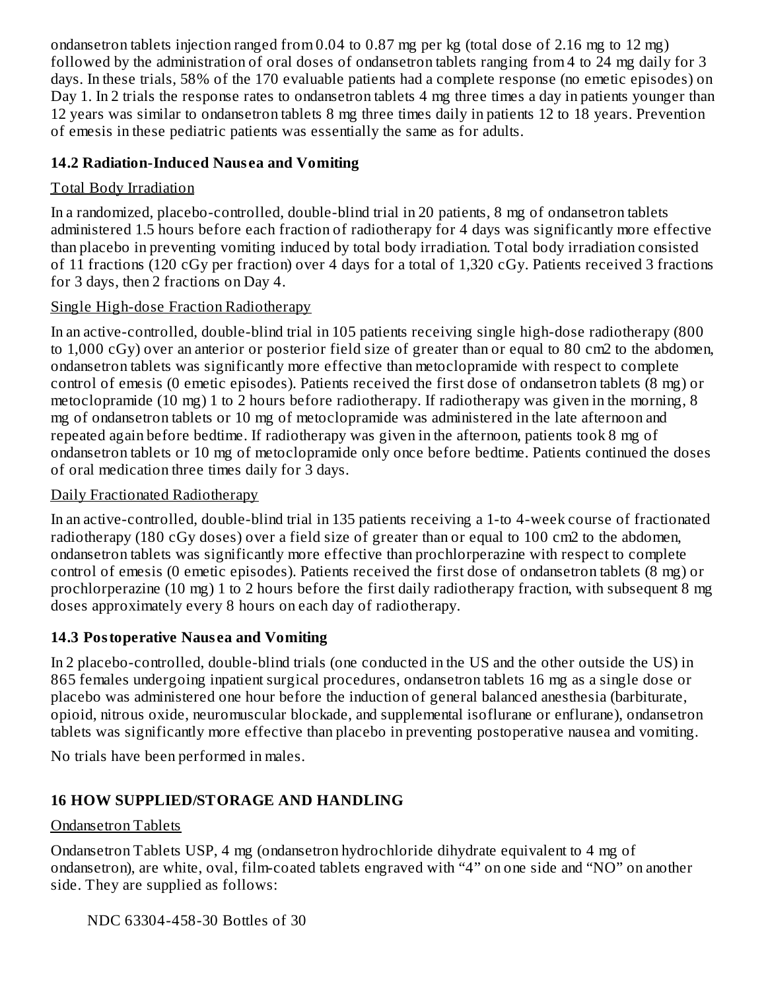ondansetron tablets injection ranged from 0.04 to 0.87 mg per kg (total dose of 2.16 mg to 12 mg) followed by the administration of oral doses of ondansetron tablets ranging from 4 to 24 mg daily for 3 days. In these trials, 58% of the 170 evaluable patients had a complete response (no emetic episodes) on Day 1. In 2 trials the response rates to ondansetron tablets 4 mg three times a day in patients younger than 12 years was similar to ondansetron tablets 8 mg three times daily in patients 12 to 18 years. Prevention of emesis in these pediatric patients was essentially the same as for adults.

### **14.2 Radiation-Induced Naus ea and Vomiting**

### Total Body Irradiation

In a randomized, placebo-controlled, double-blind trial in 20 patients, 8 mg of ondansetron tablets administered 1.5 hours before each fraction of radiotherapy for 4 days was significantly more effective than placebo in preventing vomiting induced by total body irradiation. Total body irradiation consisted of 11 fractions (120 cGy per fraction) over 4 days for a total of 1,320 cGy. Patients received 3 fractions for 3 days, then 2 fractions on Day 4.

### Single High-dose Fraction Radiotherapy

In an active-controlled, double-blind trial in 105 patients receiving single high-dose radiotherapy (800 to 1,000 cGy) over an anterior or posterior field size of greater than or equal to 80 cm2 to the abdomen, ondansetron tablets was significantly more effective than metoclopramide with respect to complete control of emesis (0 emetic episodes). Patients received the first dose of ondansetron tablets (8 mg) or metoclopramide (10 mg) 1 to 2 hours before radiotherapy. If radiotherapy was given in the morning, 8 mg of ondansetron tablets or 10 mg of metoclopramide was administered in the late afternoon and repeated again before bedtime. If radiotherapy was given in the afternoon, patients took 8 mg of ondansetron tablets or 10 mg of metoclopramide only once before bedtime. Patients continued the doses of oral medication three times daily for 3 days.

### Daily Fractionated Radiotherapy

In an active-controlled, double-blind trial in 135 patients receiving a 1-to 4-week course of fractionated radiotherapy (180 cGy doses) over a field size of greater than or equal to 100 cm2 to the abdomen, ondansetron tablets was significantly more effective than prochlorperazine with respect to complete control of emesis (0 emetic episodes). Patients received the first dose of ondansetron tablets (8 mg) or prochlorperazine (10 mg) 1 to 2 hours before the first daily radiotherapy fraction, with subsequent 8 mg doses approximately every 8 hours on each day of radiotherapy.

### **14.3 Postoperative Naus ea and Vomiting**

In 2 placebo-controlled, double-blind trials (one conducted in the US and the other outside the US) in 865 females undergoing inpatient surgical procedures, ondansetron tablets 16 mg as a single dose or placebo was administered one hour before the induction of general balanced anesthesia (barbiturate, opioid, nitrous oxide, neuromuscular blockade, and supplemental isoflurane or enflurane), ondansetron tablets was significantly more effective than placebo in preventing postoperative nausea and vomiting.

No trials have been performed in males.

# **16 HOW SUPPLIED/STORAGE AND HANDLING**

### Ondansetron Tablets

Ondansetron Tablets USP, 4 mg (ondansetron hydrochloride dihydrate equivalent to 4 mg of ondansetron), are white, oval, film-coated tablets engraved with "4" on one side and "NO" on another side. They are supplied as follows:

NDC 63304-458-30 Bottles of 30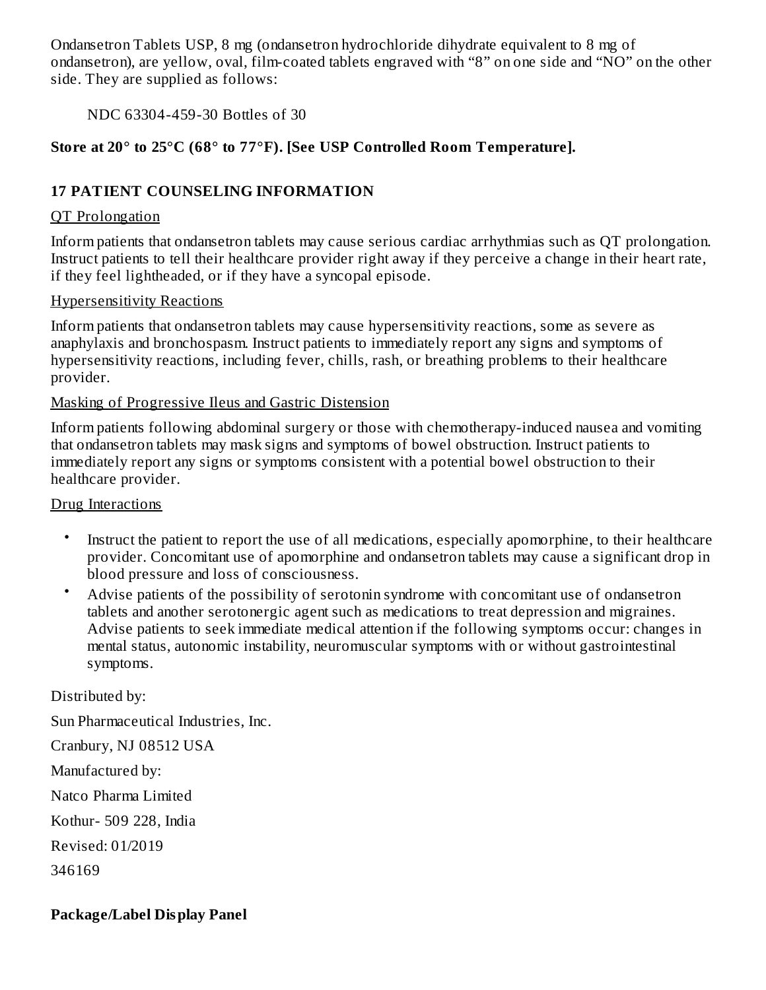Ondansetron Tablets USP, 8 mg (ondansetron hydrochloride dihydrate equivalent to 8 mg of ondansetron), are yellow, oval, film-coated tablets engraved with "8" on one side and "NO" on the other side. They are supplied as follows:

NDC 63304-459-30 Bottles of 30

### **Store at 20° to 25°C (68° to 77°F). [See USP Controlled Room Temperature].**

### **17 PATIENT COUNSELING INFORMATION**

#### QT Prolongation

Inform patients that ondansetron tablets may cause serious cardiac arrhythmias such as QT prolongation. Instruct patients to tell their healthcare provider right away if they perceive a change in their heart rate, if they feel lightheaded, or if they have a syncopal episode.

#### Hypersensitivity Reactions

Inform patients that ondansetron tablets may cause hypersensitivity reactions, some as severe as anaphylaxis and bronchospasm. Instruct patients to immediately report any signs and symptoms of hypersensitivity reactions, including fever, chills, rash, or breathing problems to their healthcare provider.

#### Masking of Progressive Ileus and Gastric Distension

Inform patients following abdominal surgery or those with chemotherapy-induced nausea and vomiting that ondansetron tablets may mask signs and symptoms of bowel obstruction. Instruct patients to immediately report any signs or symptoms consistent with a potential bowel obstruction to their healthcare provider.

#### Drug Interactions

- Instruct the patient to report the use of all medications, especially apomorphine, to their healthcare provider. Concomitant use of apomorphine and ondansetron tablets may cause a significant drop in blood pressure and loss of consciousness.
- Advise patients of the possibility of serotonin syndrome with concomitant use of ondansetron tablets and another serotonergic agent such as medications to treat depression and migraines. Advise patients to seek immediate medical attention if the following symptoms occur: changes in mental status, autonomic instability, neuromuscular symptoms with or without gastrointestinal symptoms.

Distributed by: Sun Pharmaceutical Industries, Inc. Cranbury, NJ 08512 USA Manufactured by: Natco Pharma Limited Kothur- 509 228, India Revised: 01/2019

346169

### **Package/Label Display Panel**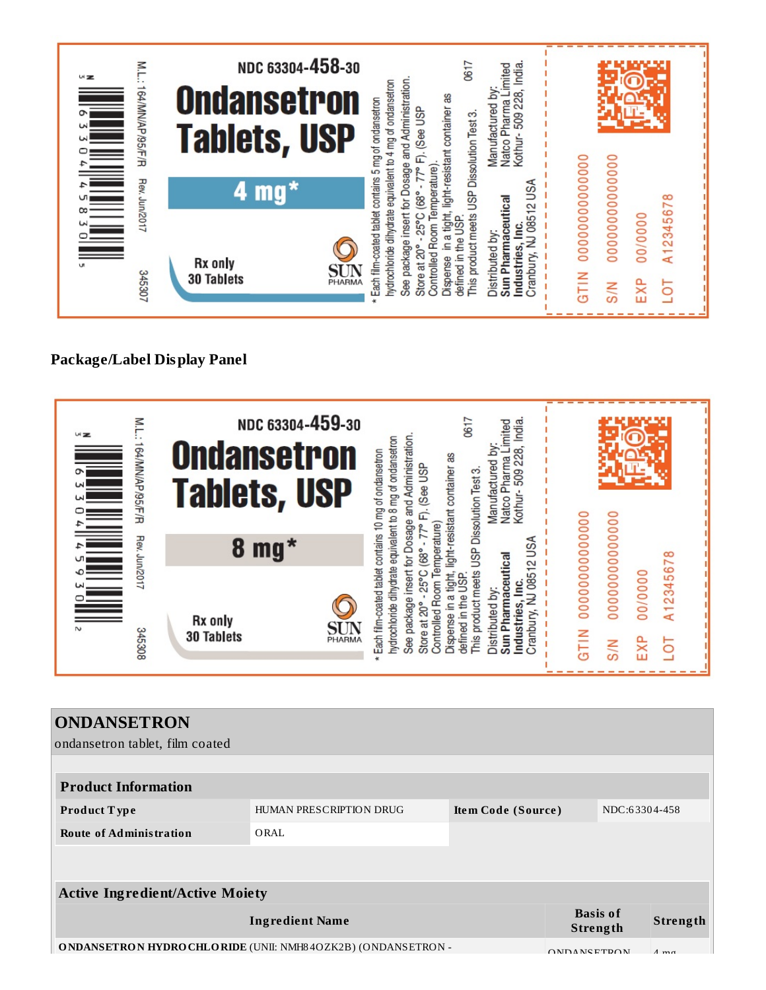

### **Package/Label Display Panel**



| <b>ONDANSETRON</b>                                                 |                         |                    |                    |                             |                |
|--------------------------------------------------------------------|-------------------------|--------------------|--------------------|-----------------------------|----------------|
| ondansetron tablet, film coated                                    |                         |                    |                    |                             |                |
|                                                                    |                         |                    |                    |                             |                |
| <b>Product Information</b>                                         |                         |                    |                    |                             |                |
| Product Type                                                       | HUMAN PRESCRIPTION DRUG | Item Code (Source) |                    | NDC:63304-458               |                |
| <b>Route of Administration</b>                                     | ORAL                    |                    |                    |                             |                |
|                                                                    |                         |                    |                    |                             |                |
|                                                                    |                         |                    |                    |                             |                |
| <b>Active Ingredient/Active Moiety</b>                             |                         |                    |                    |                             |                |
|                                                                    | <b>Ingredient Name</b>  |                    |                    | <b>Basis of</b><br>Strength | Strength       |
| <b>ONDANSETRON HYDROCHLORIDE (UNII: NMH84OZK2B) (ONDANSETRON -</b> |                         |                    | <b>ONDANSETRON</b> |                             | $A$ m $\sigma$ |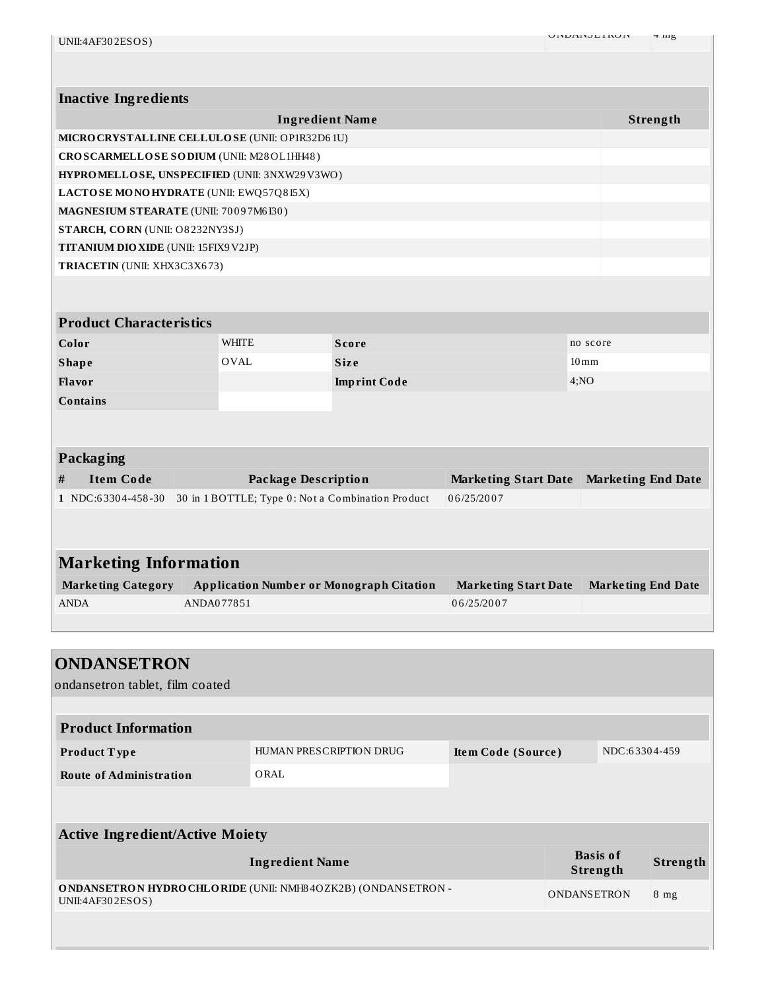| <b>Inactive Ingredients</b>                 |                                                                                |                                                                                        |                           |                    |
|---------------------------------------------|--------------------------------------------------------------------------------|----------------------------------------------------------------------------------------|---------------------------|--------------------|
| <b>Ingredient Name</b>                      |                                                                                |                                                                                        |                           | Strength           |
|                                             | MICRO CRYSTALLINE CELLULOSE (UNII: OP1R32D61U)                                 |                                                                                        |                           |                    |
|                                             | CROSCARMELLOSE SODIUM (UNII: M28OL1HH48)                                       |                                                                                        |                           |                    |
|                                             | HYPROMELLOSE, UNSPECIFIED (UNII: 3NXW29V3WO)                                   |                                                                                        |                           |                    |
|                                             | LACTOSE MONOHYDRATE (UNII: EWQ57Q8I5X)                                         |                                                                                        |                           |                    |
| MAGNESIUM STEARATE (UNII: 70097M6I30)       |                                                                                |                                                                                        |                           |                    |
| STARCH, CORN (UNII: O8232NY3SJ)             |                                                                                |                                                                                        |                           |                    |
| <b>TITANIUM DIO XIDE (UNII: 15FIX9V2JP)</b> |                                                                                |                                                                                        |                           |                    |
| TRIACETIN (UNII: XHX3C3X673)                |                                                                                |                                                                                        |                           |                    |
|                                             |                                                                                |                                                                                        |                           |                    |
|                                             |                                                                                |                                                                                        |                           |                    |
| <b>Product Characteristics</b>              |                                                                                |                                                                                        |                           |                    |
| Color                                       | <b>WHITE</b>                                                                   | <b>Score</b>                                                                           |                           | no score           |
| <b>Shape</b>                                | <b>OVAL</b>                                                                    | <b>Size</b>                                                                            |                           | $10 \,\mathrm{mm}$ |
| Flavor                                      |                                                                                | <b>Imprint Code</b>                                                                    |                           | 4;NO               |
| <b>Contains</b>                             |                                                                                |                                                                                        |                           |                    |
|                                             |                                                                                |                                                                                        |                           |                    |
|                                             |                                                                                |                                                                                        |                           |                    |
| <b>Packaging</b>                            |                                                                                |                                                                                        |                           |                    |
| <b>Item Code</b><br>#                       |                                                                                | <b>Package Description</b><br><b>Marketing Start Date</b><br><b>Marketing End Date</b> |                           |                    |
| 1 NDC:63304-458-30                          |                                                                                | 06/25/2007<br>30 in 1 BOTTLE; Type 0: Not a Combination Product                        |                           |                    |
|                                             |                                                                                |                                                                                        |                           |                    |
|                                             |                                                                                |                                                                                        |                           |                    |
|                                             |                                                                                |                                                                                        |                           |                    |
| <b>Marketing Information</b>                |                                                                                |                                                                                        |                           |                    |
| <b>Marketing Category</b>                   | <b>Application Number or Monograph Citation</b><br><b>Marketing Start Date</b> |                                                                                        | <b>Marketing End Date</b> |                    |
| <b>ANDA</b>                                 | ANDA077851<br>06/25/2007                                                       |                                                                                        |                           |                    |
|                                             |                                                                                |                                                                                        |                           |                    |
|                                             |                                                                                |                                                                                        |                           |                    |
| <b>ONDANSETRON</b>                          |                                                                                |                                                                                        |                           |                    |
| ondansetron tablet, film coated             |                                                                                |                                                                                        |                           |                    |
|                                             |                                                                                |                                                                                        |                           |                    |
| <b>Product Information</b>                  |                                                                                |                                                                                        |                           |                    |
|                                             |                                                                                |                                                                                        |                           |                    |

| Product Type                   | HUMAN PRESCRIPTION DRUG | Item Code (Source) | NDC:63304-459 |
|--------------------------------|-------------------------|--------------------|---------------|
| <b>Route of Administration</b> | ORAL                    |                    |               |
|                                |                         |                    |               |

| <b>Active Ingredient/Active Moiety</b>                                                 |                             |          |  |
|----------------------------------------------------------------------------------------|-----------------------------|----------|--|
| <b>Ingredient Name</b>                                                                 | <b>Basis of</b><br>Strength | Strength |  |
| <b>ONDANSETRON HYDROCHLORIDE</b> (UNII: NMH84OZK2B) (ONDANSETRON -<br>UNII:4AF302ESOS) | <b>ONDANSETRON</b>          | 8 mg     |  |
|                                                                                        |                             |          |  |